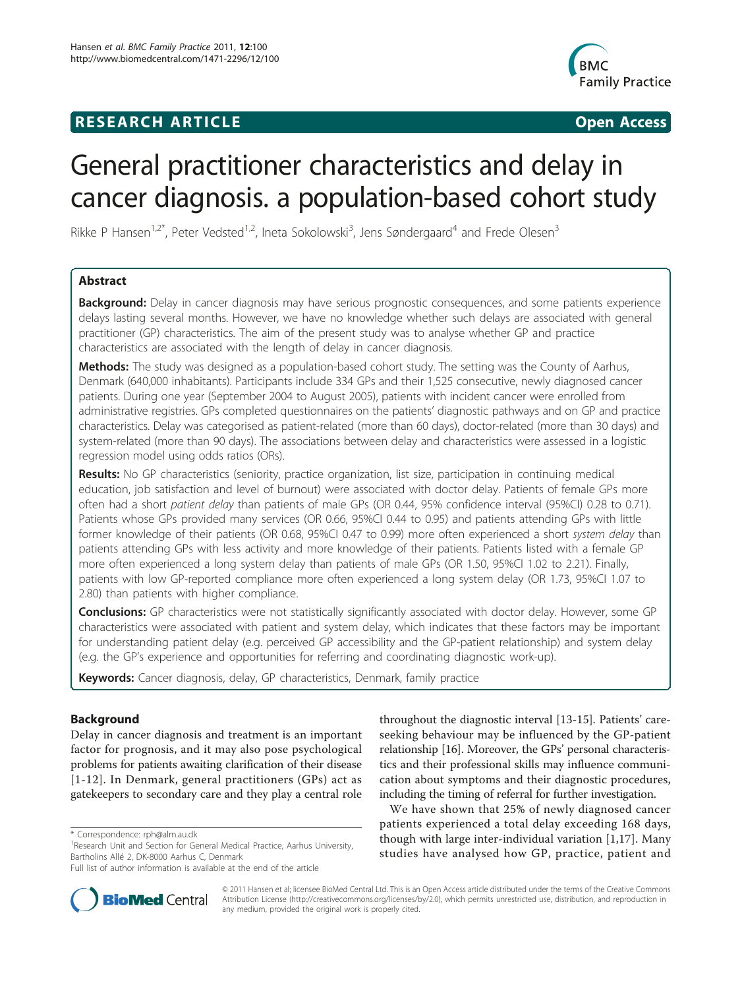# **RESEARCH ARTICLE Example 2018 CONSIDERING ACCESS**



# General practitioner characteristics and delay in cancer diagnosis. a population-based cohort study

Rikke P Hansen<sup>1,2\*</sup>, Peter Vedsted<sup>1,2</sup>, Ineta Sokolowski<sup>3</sup>, Jens Søndergaard<sup>4</sup> and Frede Olesen<sup>3</sup>

# Abstract

Background: Delay in cancer diagnosis may have serious prognostic consequences, and some patients experience delays lasting several months. However, we have no knowledge whether such delays are associated with general practitioner (GP) characteristics. The aim of the present study was to analyse whether GP and practice characteristics are associated with the length of delay in cancer diagnosis.

Methods: The study was designed as a population-based cohort study. The setting was the County of Aarhus, Denmark (640,000 inhabitants). Participants include 334 GPs and their 1,525 consecutive, newly diagnosed cancer patients. During one year (September 2004 to August 2005), patients with incident cancer were enrolled from administrative registries. GPs completed questionnaires on the patients' diagnostic pathways and on GP and practice characteristics. Delay was categorised as patient-related (more than 60 days), doctor-related (more than 30 days) and system-related (more than 90 days). The associations between delay and characteristics were assessed in a logistic regression model using odds ratios (ORs).

Results: No GP characteristics (seniority, practice organization, list size, participation in continuing medical education, job satisfaction and level of burnout) were associated with doctor delay. Patients of female GPs more often had a short patient delay than patients of male GPs (OR 0.44, 95% confidence interval (95%CI) 0.28 to 0.71). Patients whose GPs provided many services (OR 0.66, 95%CI 0.44 to 0.95) and patients attending GPs with little former knowledge of their patients (OR 0.68, 95%CI 0.47 to 0.99) more often experienced a short system delay than patients attending GPs with less activity and more knowledge of their patients. Patients listed with a female GP more often experienced a long system delay than patients of male GPs (OR 1.50, 95%CI 1.02 to 2.21). Finally, patients with low GP-reported compliance more often experienced a long system delay (OR 1.73, 95%CI 1.07 to 2.80) than patients with higher compliance.

**Conclusions:** GP characteristics were not statistically significantly associated with doctor delay. However, some GP characteristics were associated with patient and system delay, which indicates that these factors may be important for understanding patient delay (e.g. perceived GP accessibility and the GP-patient relationship) and system delay (e.g. the GP's experience and opportunities for referring and coordinating diagnostic work-up).

Keywords: Cancer diagnosis, delay, GP characteristics, Denmark, family practice

# Background

Delay in cancer diagnosis and treatment is an important factor for prognosis, and it may also pose psychological problems for patients awaiting clarification of their disease [[1](#page-7-0)-[12](#page-7-0)]. In Denmark, general practitioners (GPs) act as gatekeepers to secondary care and they play a central role



We have shown that 25% of newly diagnosed cancer patients experienced a total delay exceeding 168 days, though with large inter-individual variation [[1,17\]](#page-7-0). Many studies have analysed how GP, practice, patient and



© 2011 Hansen et al; licensee BioMed Central Ltd. This is an Open Access article distributed under the terms of the Creative Commons Attribution License [\(http://creativecommons.org/licenses/by/2.0](http://creativecommons.org/licenses/by/2.0)), which permits unrestricted use, distribution, and reproduction in any medium, provided the original work is properly cited.

<sup>\*</sup> Correspondence: [rph@alm.au.dk](mailto:rph@alm.au.dk)

<sup>&</sup>lt;sup>1</sup> Research Unit and Section for General Medical Practice, Aarhus University, Bartholins Allé 2, DK-8000 Aarhus C, Denmark

Full list of author information is available at the end of the article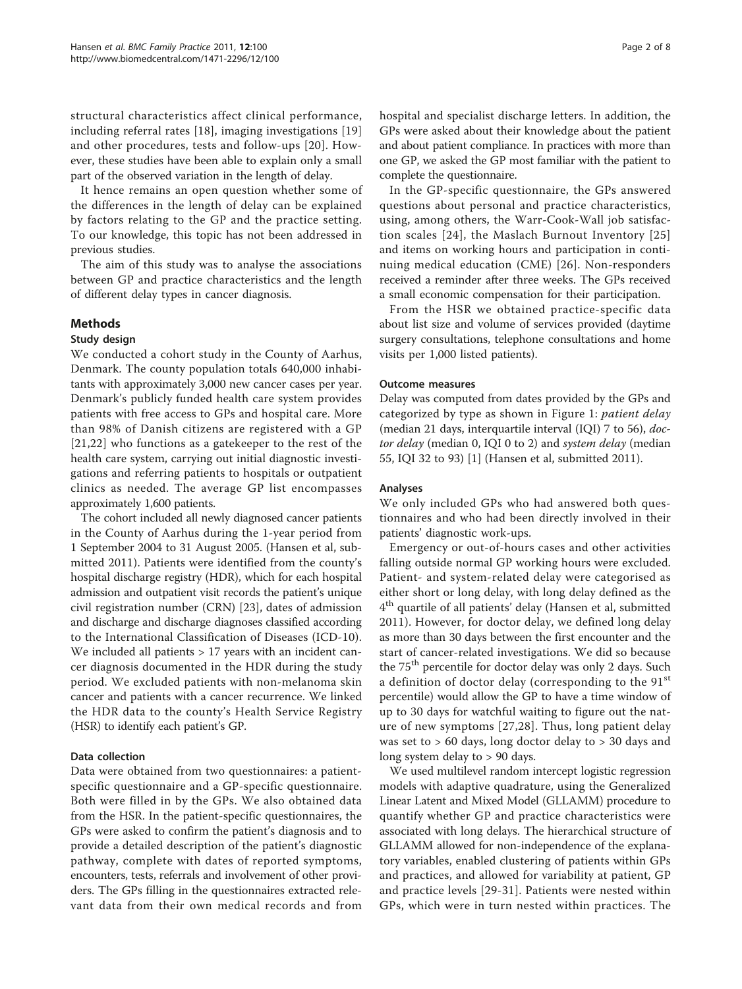structural characteristics affect clinical performance, including referral rates [[18\]](#page-7-0), imaging investigations [\[19](#page-7-0)] and other procedures, tests and follow-ups [[20\]](#page-7-0). However, these studies have been able to explain only a small part of the observed variation in the length of delay.

It hence remains an open question whether some of the differences in the length of delay can be explained by factors relating to the GP and the practice setting. To our knowledge, this topic has not been addressed in previous studies.

The aim of this study was to analyse the associations between GP and practice characteristics and the length of different delay types in cancer diagnosis.

# Methods

#### Study design

We conducted a cohort study in the County of Aarhus, Denmark. The county population totals 640,000 inhabitants with approximately 3,000 new cancer cases per year. Denmark's publicly funded health care system provides patients with free access to GPs and hospital care. More than 98% of Danish citizens are registered with a GP [[21,22\]](#page-7-0) who functions as a gatekeeper to the rest of the health care system, carrying out initial diagnostic investigations and referring patients to hospitals or outpatient clinics as needed. The average GP list encompasses approximately 1,600 patients.

The cohort included all newly diagnosed cancer patients in the County of Aarhus during the 1-year period from 1 September 2004 to 31 August 2005. (Hansen et al, submitted 2011). Patients were identified from the county's hospital discharge registry (HDR), which for each hospital admission and outpatient visit records the patient's unique civil registration number (CRN) [\[23](#page-7-0)], dates of admission and discharge and discharge diagnoses classified according to the International Classification of Diseases (ICD-10). We included all patients > 17 years with an incident cancer diagnosis documented in the HDR during the study period. We excluded patients with non-melanoma skin cancer and patients with a cancer recurrence. We linked the HDR data to the county's Health Service Registry (HSR) to identify each patient's GP.

# Data collection

Data were obtained from two questionnaires: a patientspecific questionnaire and a GP-specific questionnaire. Both were filled in by the GPs. We also obtained data from the HSR. In the patient-specific questionnaires, the GPs were asked to confirm the patient's diagnosis and to provide a detailed description of the patient's diagnostic pathway, complete with dates of reported symptoms, encounters, tests, referrals and involvement of other providers. The GPs filling in the questionnaires extracted relevant data from their own medical records and from hospital and specialist discharge letters. In addition, the GPs were asked about their knowledge about the patient and about patient compliance. In practices with more than one GP, we asked the GP most familiar with the patient to complete the questionnaire.

In the GP-specific questionnaire, the GPs answered questions about personal and practice characteristics, using, among others, the Warr-Cook-Wall job satisfaction scales [[24\]](#page-7-0), the Maslach Burnout Inventory [[25](#page-7-0)] and items on working hours and participation in continuing medical education (CME) [[26](#page-7-0)]. Non-responders received a reminder after three weeks. The GPs received a small economic compensation for their participation.

From the HSR we obtained practice-specific data about list size and volume of services provided (daytime surgery consultations, telephone consultations and home visits per 1,000 listed patients).

#### Outcome measures

Delay was computed from dates provided by the GPs and categorized by type as shown in Figure [1:](#page-2-0) patient delay (median 21 days, interquartile interval (IQI) 7 to 56), doctor delay (median 0, IQI 0 to 2) and system delay (median 55, IQI 32 to 93) [\[1](#page-7-0)] (Hansen et al, submitted 2011).

#### Analyses

We only included GPs who had answered both questionnaires and who had been directly involved in their patients' diagnostic work-ups.

Emergency or out-of-hours cases and other activities falling outside normal GP working hours were excluded. Patient- and system-related delay were categorised as either short or long delay, with long delay defined as the 4<sup>th</sup> quartile of all patients' delay (Hansen et al, submitted 2011). However, for doctor delay, we defined long delay as more than 30 days between the first encounter and the start of cancer-related investigations. We did so because the 75<sup>th</sup> percentile for doctor delay was only 2 days. Such a definition of doctor delay (corresponding to the  $91<sup>st</sup>$ percentile) would allow the GP to have a time window of up to 30 days for watchful waiting to figure out the nature of new symptoms [\[27,28](#page-7-0)]. Thus, long patient delay was set to > 60 days, long doctor delay to > 30 days and long system delay to > 90 days.

We used multilevel random intercept logistic regression models with adaptive quadrature, using the Generalized Linear Latent and Mixed Model (GLLAMM) procedure to quantify whether GP and practice characteristics were associated with long delays. The hierarchical structure of GLLAMM allowed for non-independence of the explanatory variables, enabled clustering of patients within GPs and practices, and allowed for variability at patient, GP and practice levels [\[29](#page-7-0)-[31](#page-7-0)]. Patients were nested within GPs, which were in turn nested within practices. The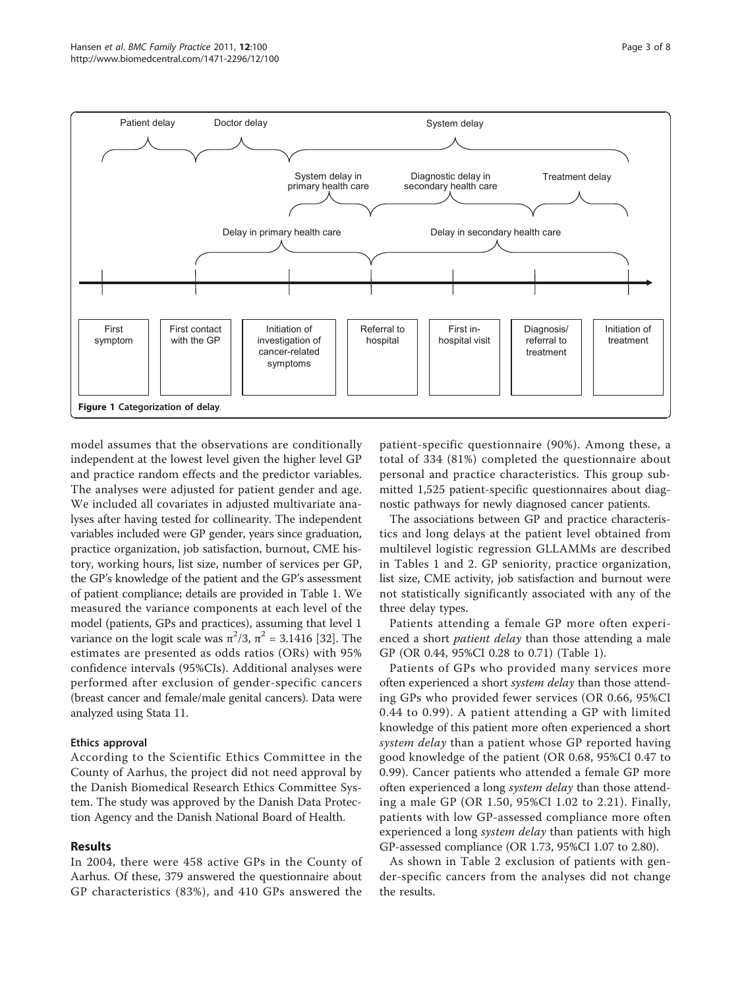<span id="page-2-0"></span>

model assumes that the observations are conditionally independent at the lowest level given the higher level GP and practice random effects and the predictor variables. The analyses were adjusted for patient gender and age. We included all covariates in adjusted multivariate analyses after having tested for collinearity. The independent variables included were GP gender, years since graduation, practice organization, job satisfaction, burnout, CME history, working hours, list size, number of services per GP, the GP's knowledge of the patient and the GP's assessment of patient compliance; details are provided in Table [1](#page-3-0). We measured the variance components at each level of the model (patients, GPs and practices), assuming that level 1 variance on the logit scale was  $\pi^2/3$ ,  $\pi^2 = 3.1416$  [[32](#page-7-0)]. The estimates are presented as odds ratios (ORs) with 95% confidence intervals (95%CIs). Additional analyses were performed after exclusion of gender-specific cancers (breast cancer and female/male genital cancers). Data were analyzed using Stata 11.

# Ethics approval

According to the Scientific Ethics Committee in the County of Aarhus, the project did not need approval by the Danish Biomedical Research Ethics Committee System. The study was approved by the Danish Data Protection Agency and the Danish National Board of Health.

# Results

In 2004, there were 458 active GPs in the County of Aarhus. Of these, 379 answered the questionnaire about GP characteristics (83%), and 410 GPs answered the

patient-specific questionnaire (90%). Among these, a total of 334 (81%) completed the questionnaire about personal and practice characteristics. This group submitted 1,525 patient-specific questionnaires about diagnostic pathways for newly diagnosed cancer patients.

The associations between GP and practice characteristics and long delays at the patient level obtained from multilevel logistic regression GLLAMMs are described in Tables [1](#page-3-0) and [2.](#page-4-0) GP seniority, practice organization, list size, CME activity, job satisfaction and burnout were not statistically significantly associated with any of the three delay types.

Patients attending a female GP more often experienced a short *patient delay* than those attending a male GP (OR 0.44, 95%CI 0.28 to 0.71) (Table [1](#page-3-0)).

Patients of GPs who provided many services more often experienced a short system delay than those attending GPs who provided fewer services (OR 0.66, 95%CI 0.44 to 0.99). A patient attending a GP with limited knowledge of this patient more often experienced a short system delay than a patient whose GP reported having good knowledge of the patient (OR 0.68, 95%CI 0.47 to 0.99). Cancer patients who attended a female GP more often experienced a long system delay than those attending a male GP (OR 1.50, 95%CI 1.02 to 2.21). Finally, patients with low GP-assessed compliance more often experienced a long *system delay* than patients with high GP-assessed compliance (OR 1.73, 95%CI 1.07 to 2.80).

As shown in Table [2](#page-4-0) exclusion of patients with gender-specific cancers from the analyses did not change the results.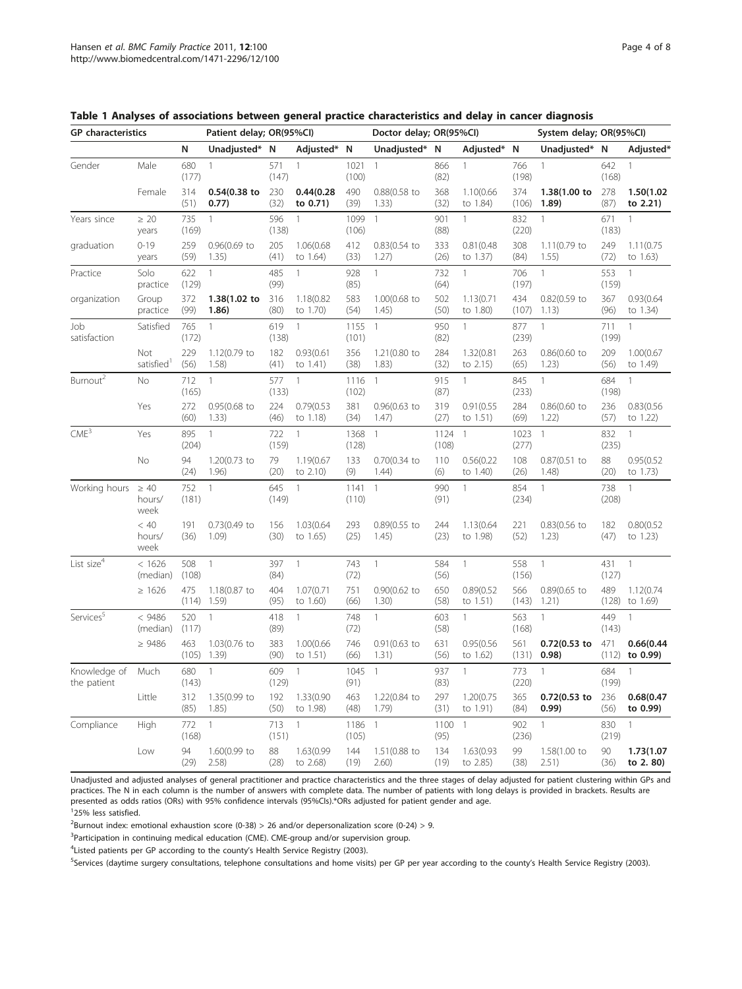| <b>GP</b> characteristics   |                             |              | Patient delay; OR(95%Cl)      |              | Doctor delay; OR(95%CI) |               |                          | System delay; OR(95%CI) |                        |               |                          |              |                        |
|-----------------------------|-----------------------------|--------------|-------------------------------|--------------|-------------------------|---------------|--------------------------|-------------------------|------------------------|---------------|--------------------------|--------------|------------------------|
|                             |                             | N            | Unadjusted*                   | N            | Adjusted* N             |               | Unadjusted* N            |                         | Adjusted*              | N             | Unadjusted*              | N            | Adjusted*              |
| Gender                      | Male                        | 680<br>(177) | $\mathbf{1}$                  | 571<br>(147) | 1                       | 1021<br>(100) | $\mathbf{1}$             | 866<br>(82)             | $\mathbf{1}$           | 766<br>(198)  | $\mathbf{1}$             | 642<br>(168) | $\mathbf{1}$           |
|                             | Female                      | 314<br>(51)  | 0.54(0.38 to<br>0.77)         | 230<br>(32)  | 0.44(0.28)<br>to 0.71)  | 490<br>(39)   | 0.88(0.58 to<br>1.33)    | 368<br>(32)             | 1.10(0.66<br>to 1.84)  | 374<br>(106)  | 1.38(1.00 to<br>1.89)    | 278<br>(87)  | 1.50(1.02<br>to 2.21)  |
| Years since                 | $\geq 20$<br>years          | 735<br>(169) | $\mathbf{1}$                  | 596<br>(138) | 1                       | 1099<br>(106) | 1                        | 901<br>(88)             | $\mathbf{1}$           | 832<br>(220)  | $\mathbf{1}$             | 671<br>(183) | $\mathbf{1}$           |
| graduation                  | $0 - 19$<br>years           | 259<br>(59)  | $0.96(0.69)$ to<br>1.35)      | 205<br>(41)  | 1.06(0.68<br>to 1.64)   | 412<br>(33)   | $0.83(0.54)$ to<br>1.27) | 333<br>(26)             | 0.81(0.48)<br>to 1.37) | 308<br>(84)   | 1.11(0.79 to<br>1.55)    | 249<br>(72)  | 1.11(0.75)<br>to 1.63) |
| Practice                    | Solo<br>practice            | 622<br>(129) | $\mathbf{1}$                  | 485<br>(99)  | $\mathbf{1}$            | 928<br>(85)   | $\mathbf{1}$             | 732<br>(64)             | $\mathbf{1}$           | 706<br>(197)  | $\mathbf{1}$             | 553<br>(159) | $\mathbf{1}$           |
| organization                | Group<br>practice           | 372<br>(99)  | 1.38(1.02 to<br>1.86)         | 316<br>(80)  | 1.18(0.82<br>to 1.70)   | 583<br>(54)   | 1.00(0.68 to<br>1.45)    | 502<br>(50)             | 1.13(0.71)<br>to 1.80) | 434<br>(107)  | $0.82(0.59)$ to<br>1.13) | 367<br>(96)  | 0.93(0.64)<br>to 1.34) |
| Job<br>satisfaction         | Satisfied                   | 765<br>(172) | $\mathbf{1}$                  | 619<br>(138) | $\mathbf{1}$            | 1155<br>(101) | $\overline{1}$           | 950<br>(82)             | $\mathbf{1}$           | 877<br>(239)  | $\mathbf{1}$             | 711<br>(199) | $\mathbf{1}$           |
|                             | Not<br>satisfied            | 229<br>(56)  | 1.12(0.79 to<br>1.58)         | 182<br>(41)  | 0.93(0.61)<br>to 1.41)  | 356<br>(38)   | 1.21(0.80 to<br>1.83)    | 284<br>(32)             | 1.32(0.81)<br>to 2.15) | 263<br>(65)   | $0.86(0.60)$ to<br>1.23) | 209<br>(56)  | 1.00(0.67)<br>to 1.49) |
| Burnout <sup>2</sup>        | No                          | 712<br>(165) | $\mathbf{1}$                  | 577<br>(133) | $\mathbf{1}$            | 1116<br>(102) | $\mathbf{1}$             | 915<br>(87)             | $\mathbf{1}$           | 845<br>(233)  | $\mathbf{1}$             | 684<br>(198) | $\mathbf{1}$           |
|                             | Yes                         | 272<br>(60)  | $0.95(0.68)$ to<br>1.33)      | 224<br>(46)  | 0.79(0.53)<br>to 1.18)  | 381<br>(34)   | $0.96(0.63)$ to<br>1.47) | 319<br>(27)             | 0.91(0.55)<br>to 1.51) | 284<br>(69)   | $0.86(0.60)$ to<br>1.22) | 236<br>(57)  | 0.83(0.56)<br>to 1.22) |
| CME <sup>3</sup>            | Yes                         | 895<br>(204) | $\mathbf{1}$                  | 722<br>(159) | 1                       | 1368<br>(128) | 1                        | 1124<br>(108)           | $\overline{1}$         | 1023<br>(277) | 1                        | 832<br>(235) | 1                      |
|                             | No                          | 94<br>(24)   | 1.20(0.73 to<br>1.96)         | 79<br>(20)   | 1.19(0.67<br>to 2.10)   | 133<br>(9)    | 0.70(0.34 to<br>1.44)    | 110<br>(6)              | 0.56(0.22)<br>to 1.40) | 108<br>(26)   | 0.87(0.51 to<br>1.48)    | 88<br>(20)   | 0.95(0.52)<br>to 1.73) |
| Working hours               | $\geq 40$<br>hours/<br>week | 752<br>(181) | 1                             | 645<br>(149) | 1                       | 1141<br>(110) | $\mathbf{1}$             | 990<br>(91)             | 1                      | 854<br>(234)  | $\mathbf{1}$             | 738<br>(208) | $\mathbf{1}$           |
|                             | < 40<br>hours/<br>week      | 191<br>(36)  | 0.73(0.49 to<br>1.09)         | 156<br>(30)  | 1.03(0.64<br>to 1.65)   | 293<br>(25)   | 0.89(0.55 to<br>1.45)    | 244<br>(23)             | 1.13(0.64<br>to 1.98)  | 221<br>(52)   | $0.83(0.56)$ to<br>1.23) | 182<br>(47)  | 0.80(0.52)<br>to 1.23) |
| List size <sup>4</sup>      | < 1626<br>(median)          | 508<br>(108) | $\mathbf{1}$                  | 397<br>(84)  | $\mathbf{1}$            | 743<br>(72)   | $\mathbf{1}$             | 584<br>(56)             | $\mathbf{1}$           | 558<br>(156)  | $\mathbf{1}$             | 431<br>(127) | $\mathbf{1}$           |
|                             | $\geq 1626$                 | 475<br>(114) | 1.18(0.87 to<br>1.59)         | 404<br>(95)  | 1.07(0.71<br>to 1.60)   | 751<br>(66)   | 0.90(0.62 to<br>1.30)    | 650<br>(58)             | 0.89(0.52)<br>to 1.51) | 566<br>(143)  | $0.89(0.65)$ to<br>1.21) | 489<br>(128) | 1.12(0.74)<br>to 1.69) |
| Services <sup>5</sup>       | < 9486<br>(median)          | 520<br>(117) | 1                             | 418<br>(89)  | 1                       | 748<br>(72)   | $\mathbf{1}$             | 603<br>(58)             | $\mathbf{1}$           | 563<br>(168)  | $\overline{1}$           | 449<br>(143) | 1                      |
|                             | $\geq 9486$                 | 463          | 1.03(0.76 to<br>$(105)$ 1.39) | 383<br>(90)  | 1.00(0.66<br>to 1.51)   | 746<br>(66)   | $0.91(0.63)$ to<br>1.31) | 631<br>(56)             | 0.95(0.56)<br>to 1.62) | 561<br>(131)  | 0.72(0.53 to<br>0.98)    | 471<br>(112) | 0.66(0.44)<br>to 0.99) |
| Knowledge of<br>the patient | Much                        | 680<br>(143) | $\mathbf{1}$                  | 609<br>(129) | 1                       | 1045<br>(91)  | $\mathbf{1}$             | 937<br>(83)             | $\mathbf{1}$           | 773<br>(220)  | $\mathbf{1}$             | 684<br>(199) | 1                      |
|                             | Little                      | 312<br>(85)  | 1.35(0.99 to<br>1.85)         | 192<br>(50)  | 1.33(0.90<br>to 1.98)   | 463<br>(48)   | 1.22(0.84 to<br>1.79)    | 297<br>(31)             | 1.20(0.75<br>to 1.91)  | 365<br>(84)   | 0.72(0.53 to<br>0.99)    | 236<br>(56)  | 0.68(0.47)<br>to 0.99) |
| Compliance                  | High                        | 772<br>(168) | $\mathbf{1}$                  | 713<br>(151) | $\mathbf{1}$            | 1186<br>(105) | $\mathbf{1}$             | 1100<br>(95)            | $\mathbf{1}$           | 902<br>(236)  | $\mathbf{1}$             | 830<br>(219) | $\mathbf{1}$           |
|                             | Low                         | 94<br>(29)   | 1.60(0.99 to<br>2.58)         | 88<br>(28)   | 1.63(0.99<br>to 2.68)   | 144<br>(19)   | 1.51(0.88 to<br>2.60)    | 134<br>(19)             | 1.63(0.93<br>to 2.85)  | 99<br>(38)    | 1.58(1.00 to<br>2.51)    | 90<br>(36)   | 1.73(1.07<br>to 2.80)  |

<span id="page-3-0"></span>

| Table 1 Analyses of associations between general practice characteristics and delay in cancer diagnosis |  |  |  |  |
|---------------------------------------------------------------------------------------------------------|--|--|--|--|
|---------------------------------------------------------------------------------------------------------|--|--|--|--|

Unadjusted and adjusted analyses of general practitioner and practice characteristics and the three stages of delay adjusted for patient clustering within GPs and practices. The N in each column is the number of answers with complete data. The number of patients with long delays is provided in brackets. Results are presented as odds ratios (ORs) with 95% confidence intervals (95%CIs).\*ORs adjusted for patient gender and age. 1 25% less satisfied.

 $^{2}$ Burnout index: emotional exhaustion score (0-38) > 26 and/or depersonalization score (0-24) > 9.

<sup>3</sup>Participation in continuing medical education (CME). CME-group and/or supervision group.

<sup>4</sup> Listed patients per GP according to the county's Health Service Registry (2003).

<sup>5</sup>Services (daytime surgery consultations, telephone consultations and home visits) per GP per year according to the county's Health Service Registry (2003).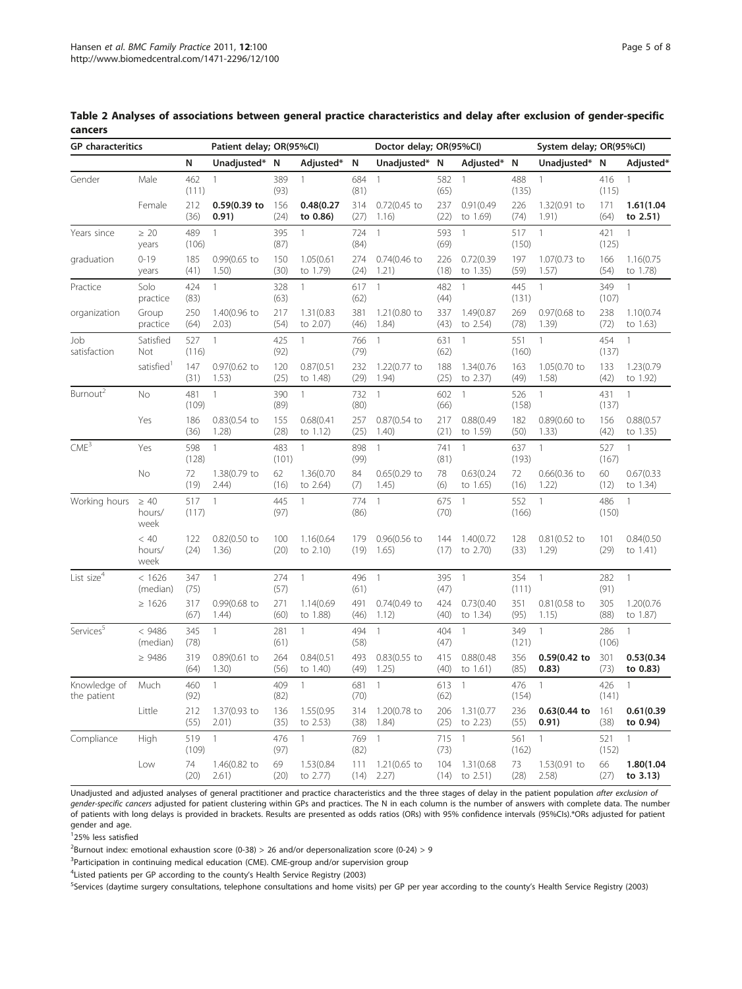| <b>GP</b> characteritics    |                             |              |                          | Patient delay; OR(95%CI) |                        |             | Doctor delay; OR(95%Cl)  |             |                        |              | System delay; OR(95%CI)  |              |                          |
|-----------------------------|-----------------------------|--------------|--------------------------|--------------------------|------------------------|-------------|--------------------------|-------------|------------------------|--------------|--------------------------|--------------|--------------------------|
|                             |                             | N            | Unadjusted*              | N                        | Adjusted*              | N           | Unadjusted*              | N           | Adjusted*              | N            | Unadjusted*              | N            | Adjusted*                |
| Gender                      | Male                        | 462<br>(111) | $\mathbf{1}$             | 389<br>(93)              | $\mathbf{1}$           | 684<br>(81) | $\mathbf{1}$             | 582<br>(65) | $\mathbf{1}$           | 488<br>(135) | $\mathbf{1}$             | 416<br>(115) | $\mathbf{1}$             |
|                             | Female                      | 212<br>(36)  | 0.59(0.39 to<br>0.91)    | 156<br>(24)              | 0.48(0.27)<br>to 0.86) | 314<br>(27) | $0.72(0.45)$ to<br>1.16) | 237<br>(22) | 0.91(0.49)<br>to 1.69) | 226<br>(74)  | 1.32(0.91 to<br>1.91)    | 171<br>(64)  | 1.61(1.04)<br>to 2.51)   |
| Years since                 | $\geq 20$<br>years          | 489<br>(106) | $\mathbf{1}$             | 395<br>(87)              | $\mathbf{1}$           | 724<br>(84) | $\mathbf{1}$             | 593<br>(69) | $\mathbf{1}$           | 517<br>(150) | $\mathbf{1}$             | 421<br>(125) | $\mathbf{1}$             |
| graduation                  | $0 - 19$<br>years           | 185<br>(41)  | 0.99(0.65 to<br>1.50)    | 150<br>(30)              | 1.05(0.61<br>to 1.79)  | 274<br>(24) | $0.74(0.46)$ to<br>1.21) | 226<br>(18) | 0.72(0.39)<br>to 1.35) | 197<br>(59)  | 1.07(0.73 to<br>1.57)    | 166<br>(54)  | 1.16(0.75<br>to 1.78)    |
| Practice                    | Solo<br>practice            | 424<br>(83)  | $\mathbf{1}$             | 328<br>(63)              | $\mathbf{1}$           | 617<br>(62) | $\mathbf{1}$             | 482<br>(44) | $\overline{1}$         | 445<br>(131) | $\mathbf{1}$             | 349<br>(107) | $\mathbf{1}$             |
| organization                | Group<br>practice           | 250<br>(64)  | 1.40(0.96 to<br>2.03)    | 217<br>(54)              | 1.31(0.83<br>to 2.07)  | 381<br>(46) | 1.21(0.80 to<br>1.84)    | 337<br>(43) | 1.49(0.87<br>to 2.54)  | 269<br>(78)  | $0.97(0.68)$ to<br>1.39) | 238<br>(72)  | 1.10(0.74<br>to 1.63)    |
| Job<br>satisfaction         | Satisfied<br>Not            | 527<br>(116) | $\mathbf{1}$             | 425<br>(92)              | $\mathbf{1}$           | 766<br>(79) | $\mathbf{1}$             | 631<br>(62) | $\mathbf{1}$           | 551<br>(160) | $\mathbf{1}$             | 454<br>(137) | $\mathbf{1}$             |
|                             | satisfied <sup>1</sup>      | 147<br>(31)  | 0.97(0.62 to<br>1.53)    | 120<br>(25)              | 0.87(0.51)<br>to 1.48) | 232<br>(29) | 1.22(0.77 to<br>1.94)    | 188<br>(25) | 1.34(0.76<br>to 2.37)  | 163<br>(49)  | 1.05(0.70 to<br>1.58)    | 133<br>(42)  | 1.23(0.79<br>to 1.92)    |
| Burnout <sup>2</sup>        | <b>No</b>                   | 481<br>(109) | $\mathbf{1}$             | 390<br>(89)              | $\mathbf{1}$           | 732<br>(80) | $\mathbf{1}$             | 602<br>(66) | $\mathbf{1}$           | 526<br>(158) | $\overline{1}$           | 431<br>(137) | $\mathbf{1}$             |
|                             | Yes                         | 186<br>(36)  | 0.83(0.54 to<br>1.28)    | 155<br>(28)              | 0.68(0.41)<br>to 1.12) | 257<br>(25) | 0.87(0.54 to<br>1.40)    | 217<br>(21) | 0.88(0.49)<br>to 1.59) | 182<br>(50)  | 0.89(0.60 to<br>1.33)    | 156<br>(42)  | 0.88(0.57)<br>to 1.35)   |
| CME <sup>3</sup>            | Yes                         | 598<br>(128) | $\mathbf{1}$             | 483<br>(101)             | $\mathbf{1}$           | 898<br>(99) | $\mathbf{1}$             | 741<br>(81) | $\mathbf{1}$           | 637<br>(193) | $\mathbf{1}$             | 527<br>(167) | $\mathbf{1}$             |
|                             | <b>No</b>                   | 72<br>(19)   | 1.38(0.79 to<br>2.44)    | 62<br>(16)               | 1.36(0.70<br>to 2.64)  | 84<br>(7)   | $0.65(0.29)$ to<br>1.45) | 78<br>(6)   | 0.63(0.24)<br>to 1.65) | 72<br>(16)   | $0.66(0.36)$ to<br>1.22) | 60<br>(12)   | 0.67(0.33)<br>to 1.34)   |
| Working hours               | $\geq 40$<br>hours/<br>week | 517<br>(117) | $\mathbf{1}$             | 445<br>(97)              | $\mathbf{1}$           | 774<br>(86) | $\mathbf{1}$             | 675<br>(70) | $\mathbf{1}$           | 552<br>(166) | $\mathbf{1}$             | 486<br>(150) | $\mathbf{1}$             |
|                             | < 40<br>hours/<br>week      | 122<br>(24)  | $0.82(0.50)$ to<br>1.36) | 100<br>(20)              | 1.16(0.64<br>to 2.10)  | 179<br>(19) | 0.96(0.56 to<br>1.65)    | 144<br>(17) | 1.40(0.72<br>to 2.70)  | 128<br>(33)  | 0.81(0.52 to<br>1.29)    | 101<br>(29)  | 0.84(0.50)<br>to 1.41)   |
| List size <sup>4</sup>      | < 1626<br>(median)          | 347<br>(75)  | $\mathbf{1}$             | 274<br>(57)              | $\mathbf{1}$           | 496<br>(61) | $\mathbf{1}$             | 395<br>(47) | $\overline{1}$         | 354<br>(111) | $\mathbf{1}$             | 282<br>(91)  | $\mathbf{1}$             |
|                             | $\geq 1626$                 | 317<br>(67)  | 0.99(0.68 to<br>1.44)    | 271<br>(60)              | 1.14(0.69<br>to 1.88)  | 491<br>(46) | $0.74(0.49)$ to<br>1.12) | 424<br>(40) | 0.73(0.40)<br>to 1.34) | 351<br>(95)  | $0.81(0.58)$ to<br>1.15) | 305<br>(88)  | 1.20(0.76<br>to 1.87)    |
| Services <sup>5</sup>       | < 9486<br>(median)          | 345<br>(78)  | $\mathbf{1}$             | 281<br>(61)              | $\mathbf{1}$           | 494<br>(58) | $\mathbf{1}$             | 404<br>(47) | $\overline{1}$         | 349<br>(121) | $\mathbf{1}$             | 286<br>(106) | $\mathbf{1}$             |
|                             | $\geq 9486$                 | 319<br>(64)  | $0.89(0.61)$ to<br>1.30) | 264<br>(56)              | 0.84(0.51)<br>to 1.40) | 493<br>(49) | $0.83(0.55)$ to<br>1.25) | 415<br>(40) | 0.88(0.48)<br>to 1.61) | 356<br>(85)  | 0.59(0.42)<br>0.83)      | 301<br>(73)  | 0.53(0.34)<br>to 0.83)   |
| Knowledge of<br>the patient | Much                        | 460<br>(92)  | $\mathbf{1}$             | 409<br>(82)              | $\mathbf{1}$           | 681<br>(70) | $\mathbf{1}$             | 613<br>(62) | $\mathbf{1}$           | 476<br>(154) | $\mathbf{1}$             | 426<br>(141) | $\mathbf{1}$             |
|                             | Little                      | 212<br>(55)  | 1.37(0.93 to<br>2.01)    | 136<br>(35)              | 1.55(0.95<br>to 2.53)  | 314<br>(38) | 1.20(0.78 to<br>1.84)    | 206<br>(25) | 1.31(0.77)<br>to 2.23) | 236<br>(55)  | $0.63(0.44)$ to<br>0.91) | 161<br>(38)  | 0.61(0.39)<br>to 0.94)   |
| Compliance                  | High                        | 519<br>(109) | $\mathbf{1}$             | 476<br>(97)              | $\mathbf{1}$           | 769<br>(82) | $\mathbf{1}$             | 715<br>(73) | $\mathbf{1}$           | 561<br>(162) | $\mathbf{1}$             | 521<br>(152) | $\mathbf{1}$             |
|                             | Low                         | 74<br>(20)   | 1.46(0.82 to<br>2.61)    | 69<br>(20)               | 1.53(0.84<br>to 2.77)  | 111<br>(14) | 1.21(0.65 to<br>2.27)    | 104<br>(14) | 1.31(0.68<br>to 2.51)  | 73<br>(28)   | 1.53(0.91 to<br>2.58)    | 66<br>(27)   | 1.80(1.04<br>to $3.13$ ) |

<span id="page-4-0"></span>Table 2 Analyses of associations between general practice characteristics and delay after exclusion of gender-specific cancers

Unadjusted and adjusted analyses of general practitioner and practice characteristics and the three stages of delay in the patient population after exclusion of gender-specific cancers adjusted for patient clustering within GPs and practices. The N in each column is the number of answers with complete data. The number of patients with long delays is provided in brackets. Results are presented as odds ratios (ORs) with 95% confidence intervals (95%CIs).\*ORs adjusted for patient gender and age.

1 25% less satisfied

 $2$ Burnout index: emotional exhaustion score (0-38) > 26 and/or depersonalization score (0-24) > 9

<sup>3</sup>Participation in continuing medical education (CME). CME-group and/or supervision group

<sup>4</sup> Listed patients per GP according to the county's Health Service Registry (2003)

<sup>5</sup>Services (daytime surgery consultations, telephone consultations and home visits) per GP per year according to the county's Health Service Registry (2003)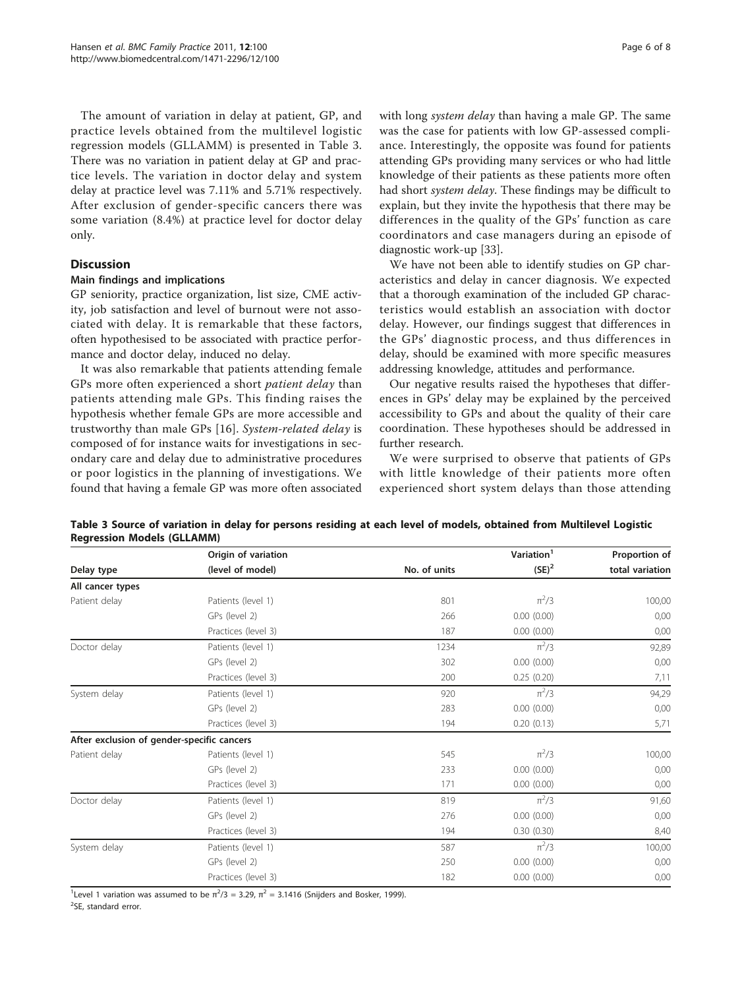The amount of variation in delay at patient, GP, and practice levels obtained from the multilevel logistic regression models (GLLAMM) is presented in Table 3. There was no variation in patient delay at GP and practice levels. The variation in doctor delay and system delay at practice level was 7.11% and 5.71% respectively. After exclusion of gender-specific cancers there was some variation (8.4%) at practice level for doctor delay only.

# **Discussion**

#### Main findings and implications

GP seniority, practice organization, list size, CME activity, job satisfaction and level of burnout were not associated with delay. It is remarkable that these factors, often hypothesised to be associated with practice performance and doctor delay, induced no delay.

It was also remarkable that patients attending female GPs more often experienced a short patient delay than patients attending male GPs. This finding raises the hypothesis whether female GPs are more accessible and trustworthy than male GPs [\[16](#page-7-0)]. System-related delay is composed of for instance waits for investigations in secondary care and delay due to administrative procedures or poor logistics in the planning of investigations. We found that having a female GP was more often associated was the case for patients with low GP-assessed compliance. Interestingly, the opposite was found for patients attending GPs providing many services or who had little knowledge of their patients as these patients more often had short system delay. These findings may be difficult to explain, but they invite the hypothesis that there may be differences in the quality of the GPs' function as care coordinators and case managers during an episode of diagnostic work-up [[33\]](#page-7-0).

We have not been able to identify studies on GP characteristics and delay in cancer diagnosis. We expected that a thorough examination of the included GP characteristics would establish an association with doctor delay. However, our findings suggest that differences in the GPs' diagnostic process, and thus differences in delay, should be examined with more specific measures addressing knowledge, attitudes and performance.

Our negative results raised the hypotheses that differences in GPs' delay may be explained by the perceived accessibility to GPs and about the quality of their care coordination. These hypotheses should be addressed in further research.

We were surprised to observe that patients of GPs with little knowledge of their patients more often experienced short system delays than those attending

|                                            | Origin of variation |              | Variation <sup>1</sup> | Proportion of   |  |
|--------------------------------------------|---------------------|--------------|------------------------|-----------------|--|
| Delay type                                 | (level of model)    | No. of units | $(SE)^2$               | total variation |  |
| All cancer types                           |                     |              |                        |                 |  |
| Patient delay                              | Patients (level 1)  | 801          | $\pi^2/3$              | 100,00          |  |
|                                            | GPs (level 2)       | 266          | 0.00(0.00)             | 0,00            |  |
|                                            | Practices (level 3) | 187          | 0.00(0.00)             | 0,00            |  |
| Doctor delay                               | Patients (level 1)  | 1234         | $\pi^2/3$              | 92,89           |  |
|                                            | GPs (level 2)       | 302          | 0.00(0.00)             | 0,00            |  |
|                                            | Practices (level 3) | 200          | 0.25(0.20)             | 7,11            |  |
| System delay                               | Patients (level 1)  | 920          | $\pi^2/3$              | 94,29           |  |
|                                            | GPs (level 2)       | 283          | 0.00(0.00)             | 0,00            |  |
|                                            | Practices (level 3) | 194          | 0.20(0.13)             | 5,71            |  |
| After exclusion of gender-specific cancers |                     |              |                        |                 |  |
| Patient delay                              | Patients (level 1)  | 545          | $\pi^2/3$              | 100,00          |  |
|                                            | GPs (level 2)       | 233          | 0.00(0.00)             | 0,00            |  |
|                                            | Practices (level 3) | 171          | 0.00(0.00)             | 0,00            |  |
| Doctor delay                               | Patients (level 1)  | 819          | $\pi^2/3$              | 91,60           |  |
|                                            | GPs (level 2)       | 276          | 0.00(0.00)             | 0,00            |  |
|                                            | Practices (level 3) | 194          | 0.30(0.30)             | 8,40            |  |
| System delay                               | Patients (level 1)  | 587          | $\pi^2/3$              | 100,00          |  |
|                                            | GPs (level 2)       | 250          | 0.00(0.00)             | 0,00            |  |
|                                            | Practices (level 3) | 182          | 0.00(0.00)             | 0,00            |  |

Table 3 Source of variation in delay for persons residing at each level of models, obtained from Multilevel Logistic Regression Models (GLLAMM)

<sup>1</sup> Level 1 variation was assumed to be  $\pi^2/3 = 3.29$ ,  $\pi^2 = 3.1416$  (Snijders and Bosker, 1999).

<sup>2</sup>SE, standard error.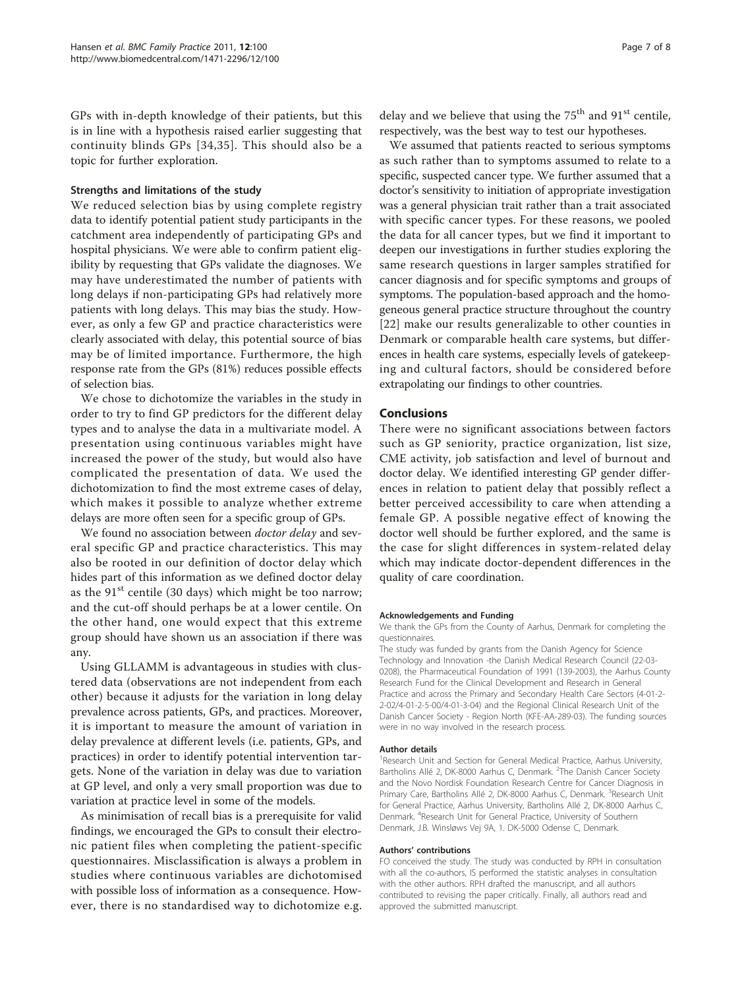GPs with in-depth knowledge of their patients, but this is in line with a hypothesis raised earlier suggesting that continuity blinds GPs [[34,35\]](#page-7-0). This should also be a topic for further exploration.

#### Strengths and limitations of the study

We reduced selection bias by using complete registry data to identify potential patient study participants in the catchment area independently of participating GPs and hospital physicians. We were able to confirm patient eligibility by requesting that GPs validate the diagnoses. We may have underestimated the number of patients with long delays if non-participating GPs had relatively more patients with long delays. This may bias the study. However, as only a few GP and practice characteristics were clearly associated with delay, this potential source of bias may be of limited importance. Furthermore, the high response rate from the GPs (81%) reduces possible effects of selection bias.

We chose to dichotomize the variables in the study in order to try to find GP predictors for the different delay types and to analyse the data in a multivariate model. A presentation using continuous variables might have increased the power of the study, but would also have complicated the presentation of data. We used the dichotomization to find the most extreme cases of delay, which makes it possible to analyze whether extreme delays are more often seen for a specific group of GPs.

We found no association between *doctor delay* and several specific GP and practice characteristics. This may also be rooted in our definition of doctor delay which hides part of this information as we defined doctor delay as the  $91<sup>st</sup>$  centile (30 days) which might be too narrow; and the cut-off should perhaps be at a lower centile. On the other hand, one would expect that this extreme group should have shown us an association if there was any.

Using GLLAMM is advantageous in studies with clustered data (observations are not independent from each other) because it adjusts for the variation in long delay prevalence across patients, GPs, and practices. Moreover, it is important to measure the amount of variation in delay prevalence at different levels (i.e. patients, GPs, and practices) in order to identify potential intervention targets. None of the variation in delay was due to variation at GP level, and only a very small proportion was due to variation at practice level in some of the models.

As minimisation of recall bias is a prerequisite for valid findings, we encouraged the GPs to consult their electronic patient files when completing the patient-specific questionnaires. Misclassification is always a problem in studies where continuous variables are dichotomised with possible loss of information as a consequence. However, there is no standardised way to dichotomize e.g. delay and we believe that using the  $75<sup>th</sup>$  and  $91<sup>st</sup>$  centile, respectively, was the best way to test our hypotheses.

We assumed that patients reacted to serious symptoms as such rather than to symptoms assumed to relate to a specific, suspected cancer type. We further assumed that a doctor's sensitivity to initiation of appropriate investigation was a general physician trait rather than a trait associated with specific cancer types. For these reasons, we pooled the data for all cancer types, but we find it important to deepen our investigations in further studies exploring the same research questions in larger samples stratified for cancer diagnosis and for specific symptoms and groups of symptoms. The population-based approach and the homogeneous general practice structure throughout the country [[22](#page-7-0)] make our results generalizable to other counties in Denmark or comparable health care systems, but differences in health care systems, especially levels of gatekeeping and cultural factors, should be considered before extrapolating our findings to other countries.

#### Conclusions

There were no significant associations between factors such as GP seniority, practice organization, list size, CME activity, job satisfaction and level of burnout and doctor delay. We identified interesting GP gender differences in relation to patient delay that possibly reflect a better perceived accessibility to care when attending a female GP. A possible negative effect of knowing the doctor well should be further explored, and the same is the case for slight differences in system-related delay which may indicate doctor-dependent differences in the quality of care coordination.

#### Acknowledgements and Funding

We thank the GPs from the County of Aarhus, Denmark for completing the questionnaires.

The study was funded by grants from the Danish Agency for Science Technology and Innovation -the Danish Medical Research Council (22-03- 0208), the Pharmaceutical Foundation of 1991 (139-2003), the Aarhus County Research Fund for the Clinical Development and Research in General Practice and across the Primary and Secondary Health Care Sectors (4-01-2- 2-02/4-01-2-5-00/4-01-3-04) and the Regional Clinical Research Unit of the Danish Cancer Society - Region North (KFE-AA-289-03). The funding sources were in no way involved in the research process.

#### Author details

<sup>1</sup> Research Unit and Section for General Medical Practice, Aarhus University, Bartholins Allé 2, DK-8000 Aarhus C, Denmark. <sup>2</sup>The Danish Cancer Society and the Novo Nordisk Foundation Research Centre for Cancer Diagnosis in Primary Care, Bartholins Allé 2, DK-8000 Aarhus C, Denmark. <sup>3</sup>Research Unit for General Practice, Aarhus University, Bartholins Allé 2, DK-8000 Aarhus C, Denmark. <sup>4</sup> Research Unit for General Practice, University of Southern Denmark, J.B. Winsløws Vej 9A, 1. DK-5000 Odense C, Denmark.

#### Authors' contributions

FO conceived the study. The study was conducted by RPH in consultation with all the co-authors, IS performed the statistic analyses in consultation with the other authors. RPH drafted the manuscript, and all authors contributed to revising the paper critically. Finally, all authors read and approved the submitted manuscript.